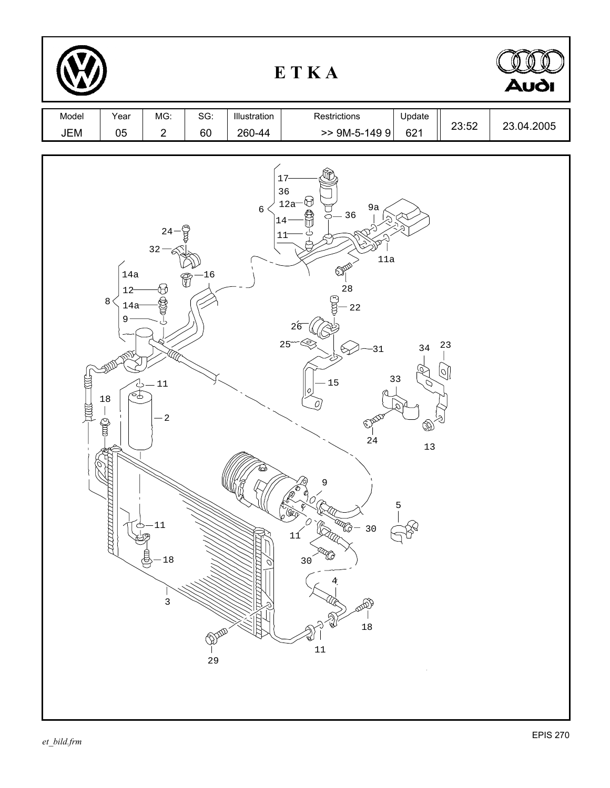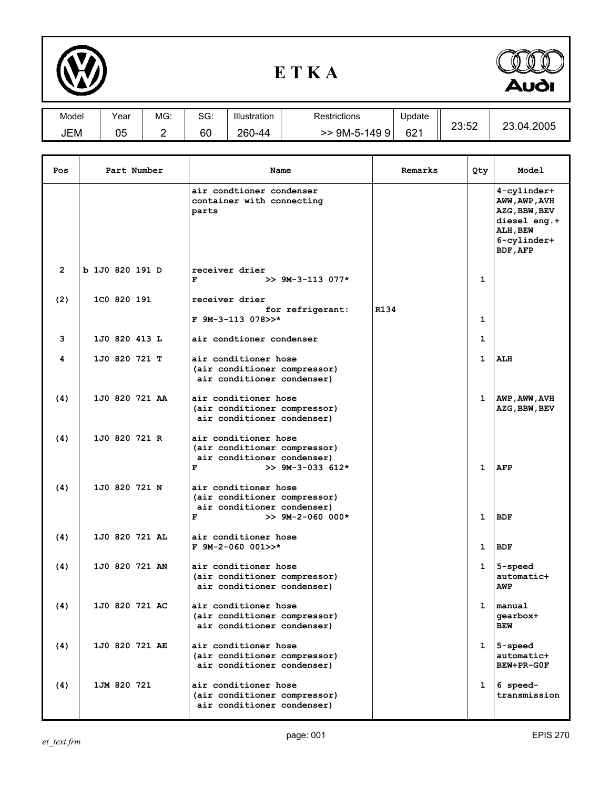

## **E T K A**



| Model | Year     | MG: | SG: | Illustration | Restrictions | Update          | 00.50      | ົດ                  |
|-------|----------|-----|-----|--------------|--------------|-----------------|------------|---------------------|
| JEM   | በፍ<br>uu |     | 60  | 260<br>N-44  | 9M-5-1499    | 62 <sup>4</sup> | .<br>20.02 | .2005<br>ി4.∠<br>∠◡ |

| Pos            | Part Number     | Name                                                                                                          | Remarks | Qty          | Model                                                                                                        |
|----------------|-----------------|---------------------------------------------------------------------------------------------------------------|---------|--------------|--------------------------------------------------------------------------------------------------------------|
|                |                 | air condtioner condenser<br>container with connecting<br>parts                                                |         |              | 4-cylinder+<br>AWW, AWP, AVH<br><b>AZG, BBW, BEV</b><br>diesel eng.+<br>ALH , BEW<br>6-cylinder+<br>BDF, AFP |
| $\overline{2}$ | b 1J0 820 191 D | receiver drier<br>F<br>$>> 9M-3-113$ 077*                                                                     |         | 1            |                                                                                                              |
| (2)            | 1C0 820 191     | receiver drier<br>for refrigerant:<br>$F$ 9M-3-113 078>>*                                                     | R134    | 1            |                                                                                                              |
| 3              | 1J0 820 413 L   | air condtioner condenser                                                                                      |         | 1            |                                                                                                              |
|                |                 |                                                                                                               |         |              |                                                                                                              |
| 4              | 1J0 820 721 T   | air conditioner hose<br>(air conditioner compressor)<br>air conditioner condenser)                            |         | $\mathbf{1}$ | ALH                                                                                                          |
| (4)            | 1J0 820 721 AA  | air conditioner hose<br>(air conditioner compressor)<br>air conditioner condenser)                            |         | 1            | AWP, AWW, AVH<br>AZG, BBW, BEV                                                                               |
| (4)            | 1J0 820 721 R   | air conditioner hose<br>(air conditioner compressor)<br>air conditioner condenser)<br>F<br>$>> 9M-3-033 612*$ |         | 1            | <b>AFP</b>                                                                                                   |
| (4)            | 1J0 820 721 N   | air conditioner hose<br>(air conditioner compressor)<br>air conditioner condenser)<br>F<br>$>> 9M-2-060 000*$ |         | 1            | <b>BDF</b>                                                                                                   |
| (4)            | 1J0 820 721 AL  | air conditioner hose<br>$F$ 9M-2-060 001>>*                                                                   |         | 1            | <b>BDF</b>                                                                                                   |
| (4)            | 1J0 820 721 AN  | air conditioner hose<br>(air conditioner compressor)<br>air conditioner condenser)                            |         | 1            | 5-speed<br>automatic+<br>AWP                                                                                 |
| (4)            | 1J0 820 721 AC  | air conditioner hose<br>(air conditioner compressor)<br>air conditioner condenser)                            |         | 1            | manual<br>gearbox+<br><b>BEW</b>                                                                             |
| (4)            | 1J0 820 721 AE  | air conditioner hose<br>(air conditioner compressor)<br>air conditioner condenser)                            |         | 1            | 5-speed<br>automatic+<br>BEW+PR-GOF                                                                          |
| (4)            | 1JM 820 721     | air conditioner hose<br>(air conditioner compressor)<br>air conditioner condenser)                            |         | 1            | 6 speed-<br>transmission                                                                                     |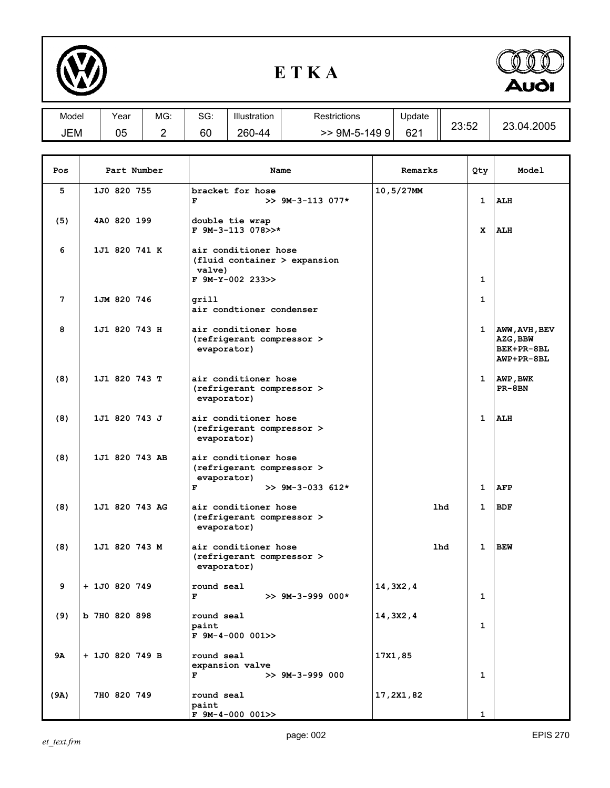

## **E T K A**



| Model      | Year | MG: | SG: | Illustration | Restrictions     | Update          |       |            |
|------------|------|-----|-----|--------------|------------------|-----------------|-------|------------|
| <b>JEM</b> | 05   | -   | 60  | 260-44       | 9M-5-14999<br>>> | 62 <sup>1</sup> | 23:52 | 23.04.2005 |
|            |      |     |     |              |                  |                 |       |            |

| Pos  | Part Number     | Name                                                                                  | Remarks       | Qty          | Model                                                 |
|------|-----------------|---------------------------------------------------------------------------------------|---------------|--------------|-------------------------------------------------------|
| 5    | 1J0 820 755     | bracket for hose<br>F<br>$>> 9M-3-113$ 077*                                           | $10, 5/27$ MM | 1            | <b>ALH</b>                                            |
| (5)  | 4A0 820 199     | double tie wrap<br>F 9M-3-113 078>>*                                                  |               | x            | <b>ALH</b>                                            |
| 6    | 1J1 820 741 K   | air conditioner hose<br>$(fluid\ container > expansion$<br>valve)<br>F 9M-Y-002 233>> |               | 1            |                                                       |
| 7    | 1JM 820 746     | grill<br>air condtioner condenser                                                     |               | 1            |                                                       |
| 8    | 1J1 820 743 H   | air conditioner hose<br>(refrigerant compressor ><br>evaporator)                      |               | 1            | AWW, AVH, BEV<br>AZG, BBW<br>BEK+PR-8BL<br>AWP+PR-8BL |
| (8)  | 1J1 820 743 T   | air conditioner hose<br>(refrigerant compressor ><br>evaporator)                      |               | $1 \quad$    | AWP, BWK<br>PR-8BN                                    |
| (8)  | 1J1 820 743 J   | air conditioner hose<br>(refrigerant compressor ><br>evaporator)                      |               | $\mathbf{1}$ | ALH                                                   |
| (8)  | 1J1 820 743 AB  | air conditioner hose<br>(refrigerant compressor ><br>evaporator)                      |               |              |                                                       |
|      |                 | F<br>$>> 9M-3-033 612*$                                                               |               | 1            | <b>AFP</b>                                            |
| (8)  | 1J1 820 743 AG  | air conditioner hose<br>(refrigerant compressor ><br>evaporator)                      | <b>lhd</b>    | 1            | <b>BDF</b>                                            |
| (8)  | 1J1 820 743 M   | air conditioner hose<br>(refrigerant compressor ><br>evaporator)                      | 1hd           | 1            | <b>BEW</b>                                            |
| 9    | + 1J0 820 749   | round seal<br>F<br>$>> 9M-3-999 000*$                                                 | 14,3X2,4      | 1            |                                                       |
| (9)  | b 7H0 820 898   | round seal<br>paint<br>$F$ 9M-4-000 001>>                                             | 14,3X2,4      | 1            |                                                       |
| 9Α   | + 1J0 820 749 B | round seal<br>expansion valve<br>F<br>$>> 9M-3-999000$                                | 17X1,85       | 1            |                                                       |
| (9A) | 7H0 820 749     | round seal<br>paint<br>$F$ 9M-4-000 001>>                                             | 17,2X1,82     | 1            |                                                       |